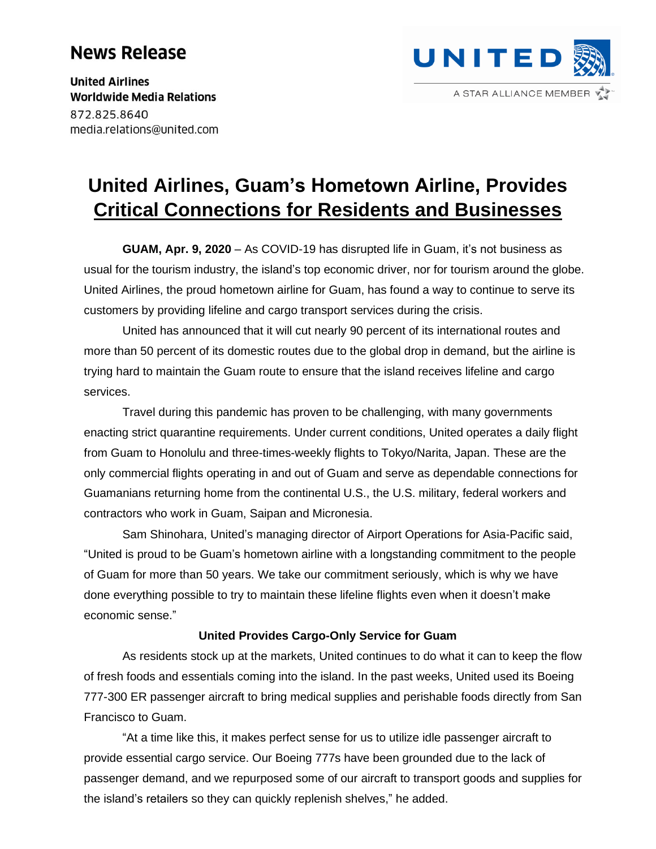# **News Release**

**United Airlines Worldwide Media Relations** 872.825.8640 media.relations@united.com

# **United Airlines, Guam's Hometown Airline, Provides Critical Connections for Residents and Businesses**

**GUAM, Apr. 9, 2020** – As COVID-19 has disrupted life in Guam, it's not business as usual for the tourism industry, the island's top economic driver, nor for tourism around the globe. United Airlines, the proud hometown airline for Guam, has found a way to continue to serve its customers by providing lifeline and cargo transport services during the crisis.

United has announced that it will cut nearly 90 percent of its international routes and more than 50 percent of its domestic routes due to the global drop in demand, but the airline is trying hard to maintain the Guam route to ensure that the island receives lifeline and cargo services.

Travel during this pandemic has proven to be challenging, with many governments enacting strict quarantine requirements. Under current conditions, United operates a daily flight from Guam to Honolulu and three-times-weekly flights to Tokyo/Narita, Japan. These are the only commercial flights operating in and out of Guam and serve as dependable connections for Guamanians returning home from the continental U.S., the U.S. military, federal workers and contractors who work in Guam, Saipan and Micronesia.

Sam Shinohara, United's managing director of Airport Operations for Asia-Pacific said, "United is proud to be Guam's hometown airline with a longstanding commitment to the people of Guam for more than 50 years. We take our commitment seriously, which is why we have done everything possible to try to maintain these lifeline flights even when it doesn't make economic sense."

## **United Provides Cargo-Only Service for Guam**

As residents stock up at the markets, United continues to do what it can to keep the flow of fresh foods and essentials coming into the island. In the past weeks, United used its Boeing 777-300 ER passenger aircraft to bring medical supplies and perishable foods directly from San Francisco to Guam.

"At a time like this, it makes perfect sense for us to utilize idle passenger aircraft to provide essential cargo service. Our Boeing 777s have been grounded due to the lack of passenger demand, and we repurposed some of our aircraft to transport goods and supplies for the island's retailers so they can quickly replenish shelves," he added.